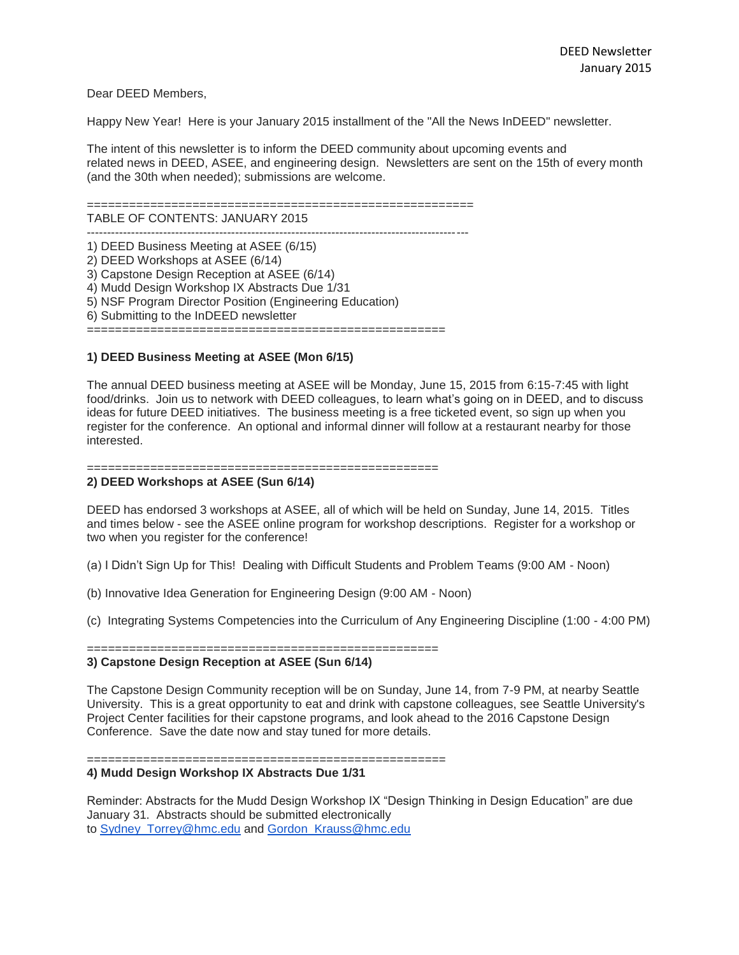Dear DEED Members,

Happy New Year! Here is your January 2015 installment of the "All the News InDEED" newsletter.

The intent of this newsletter is to inform the DEED community about upcoming events and related news in DEED, ASEE, and engineering design. Newsletters are sent on the 15th of every month (and the 30th when needed); submissions are welcome.

=======================================================

TABLE OF CONTENTS: JANUARY 2015

-----------------------------------------------------------------------------------------------

1) DEED Business Meeting at ASEE (6/15) 2) DEED Workshops at ASEE (6/14) 3) Capstone Design Reception at ASEE (6/14) 4) Mudd Design Workshop IX Abstracts Due 1/31 5) NSF Program Director Position (Engineering Education) 6) Submitting to the InDEED newsletter ===================================================

### **1) DEED Business Meeting at ASEE (Mon 6/15)**

The annual DEED business meeting at ASEE will be Monday, June 15, 2015 from 6:15-7:45 with light food/drinks. Join us to network with DEED colleagues, to learn what's going on in DEED, and to discuss ideas for future DEED initiatives. The business meeting is a free ticketed event, so sign up when you register for the conference. An optional and informal dinner will follow at a restaurant nearby for those interested.

==================================================

#### **2) DEED Workshops at ASEE (Sun 6/14)**

DEED has endorsed 3 workshops at ASEE, all of which will be held on Sunday, June 14, 2015. Titles and times below - see the ASEE online program for workshop descriptions. Register for a workshop or two when you register for the conference!

(a) I Didn't Sign Up for This! Dealing with Difficult Students and Problem Teams (9:00 AM - Noon)

(b) Innovative Idea Generation for Engineering Design (9:00 AM - Noon)

(c) Integrating Systems Competencies into the Curriculum of Any Engineering Discipline (1:00 - 4:00 PM)

==================================================

# **3) Capstone Design Reception at ASEE (Sun 6/14)**

The Capstone Design Community reception will be on Sunday, June 14, from 7-9 PM, at nearby Seattle University. This is a great opportunity to eat and drink with capstone colleagues, see Seattle University's Project Center facilities for their capstone programs, and look ahead to the 2016 Capstone Design Conference. Save the date now and stay tuned for more details.

### ===================================================

## **4) Mudd Design Workshop IX Abstracts Due 1/31**

Reminder: Abstracts for the Mudd Design Workshop IX "Design Thinking in Design Education" are due January 31. Abstracts should be submitted electronically to [Sydney\\_Torrey@hmc.edu](mailto:Sydney_Torrey@hmc.edu) and [Gordon\\_Krauss@hmc.edu](mailto:Gordon_Krauss@hmc.edu)